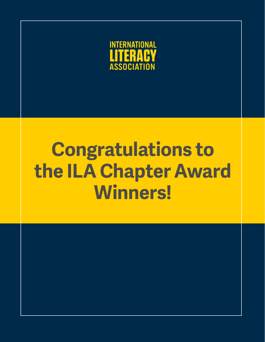

# **Congratulations to the ILA Chapter Award Winners!**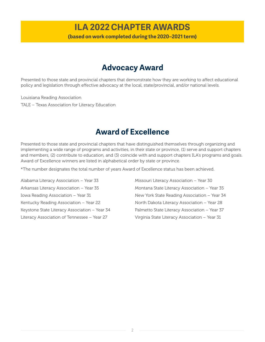# **ILA 2022 CHAPTER AWARDS**

**(based on work completed during the 2020–2021 term)**

# **Advocacy Award**

Presented to those state and provincial chapters that demonstrate how they are working to affect educational policy and legislation through effective advocacy at the local, state/provincial, and/or national levels.

Louisiana Reading Association TALE – Texas Association for Literacy Education

# **Award of Excellence**

Presented to those state and provincial chapters that have distinguished themselves through organizing and implementing a wide range of programs and activities, in their state or province, (1) serve and support chapters and members, (2) contribute to education, and (3) coincide with and support chapters ILA's programs and goals. Award of Excellence winners are listed in alphabetical order by state or province.

\*The number designates the total number of years Award of Excellence status has been achieved.

Alabama Literacy Association – Year 33 Arkansas Literacy Association – Year 35 Iowa Reading Association – Year 31 Kentucky Reading Association – Year 22 Keystone State Literacy Association – Year 34 Literacy Association of Tennessee – Year 27

Missouri Literacy Association – Year 30 Montana State Literacy Association – Year 35 New York State Reading Association – Year 34 North Dakota Literacy Association – Year 28 Palmetto State Literacy Association – Year 37 Virginia State Literacy Association – Year 31